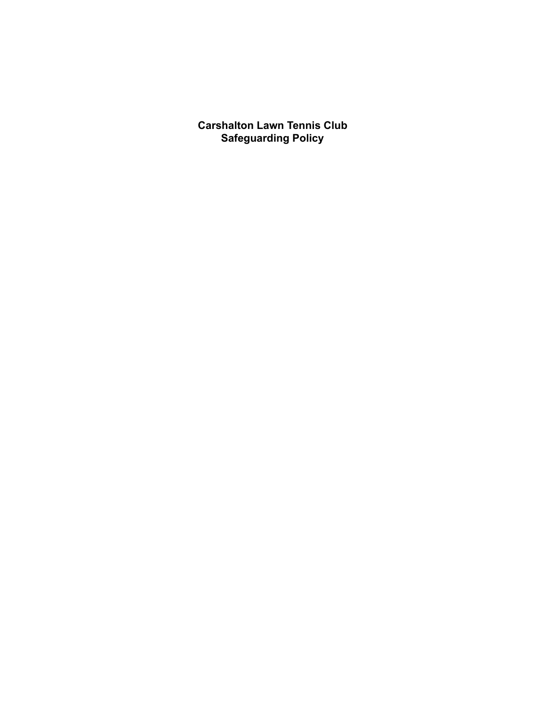**Carshalton Lawn Tennis Club Safeguarding Policy**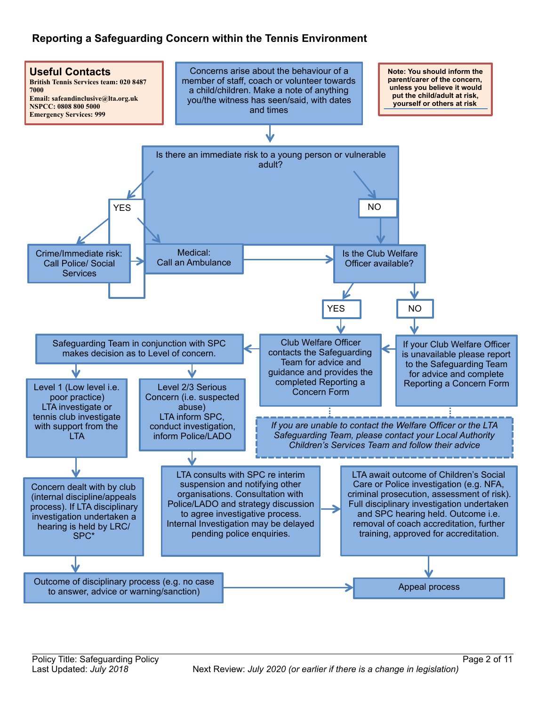# **Reporting a Safeguarding Concern within the Tennis Environment**

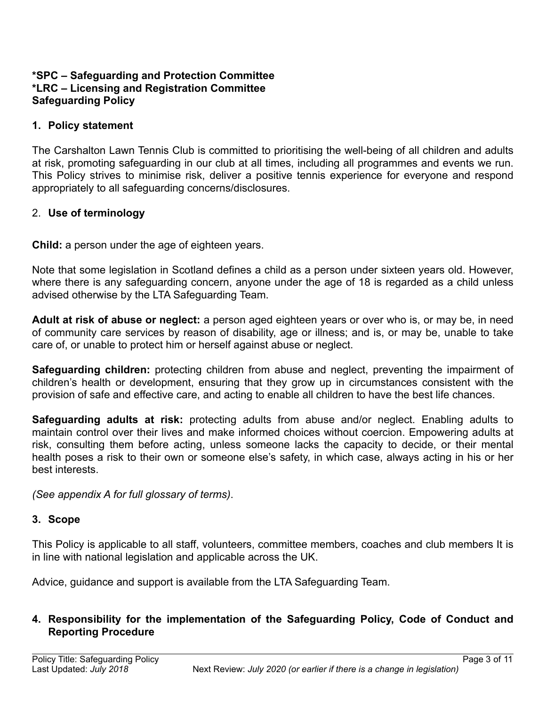#### **\*SPC – Safeguarding and Protection Committee \*LRC – Licensing and Registration Committee Safeguarding Policy**

#### **1. Policy statement**

The Carshalton Lawn Tennis Club is committed to prioritising the well-being of all children and adults at risk, promoting safeguarding in our club at all times, including all programmes and events we run. This Policy strives to minimise risk, deliver a positive tennis experience for everyone and respond appropriately to all safeguarding concerns/disclosures.

### 2. **Use of terminology**

**Child:** a person under the age of eighteen years.

Note that some legislation in Scotland defines a child as a person under sixteen years old. However, where there is any safeguarding concern, anyone under the age of 18 is regarded as a child unless advised otherwise by the LTA Safeguarding Team.

**Adult at risk of abuse or neglect:** a person aged eighteen years or over who is, or may be, in need of community care services by reason of disability, age or illness; and is, or may be, unable to take care of, or unable to protect him or herself against abuse or neglect.

**Safeguarding children:** protecting children from abuse and neglect, preventing the impairment of children's health or development, ensuring that they grow up in circumstances consistent with the provision of safe and effective care, and acting to enable all children to have the best life chances.

**Safeguarding adults at risk:** protecting adults from abuse and/or neglect. Enabling adults to maintain control over their lives and make informed choices without coercion. Empowering adults at risk, consulting them before acting, unless someone lacks the capacity to decide, or their mental health poses a risk to their own or someone else's safety, in which case, always acting in his or her best interests.

*(See appendix A for full glossary of terms)*.

# **3. Scope**

This Policy is applicable to all staff, volunteers, committee members, coaches and club members It is in line with national legislation and applicable across the UK.

Advice, guidance and support is available from the LTA Safeguarding Team.

#### **4. Responsibility for the implementation of the Safeguarding Policy, Code of Conduct and Reporting Procedure**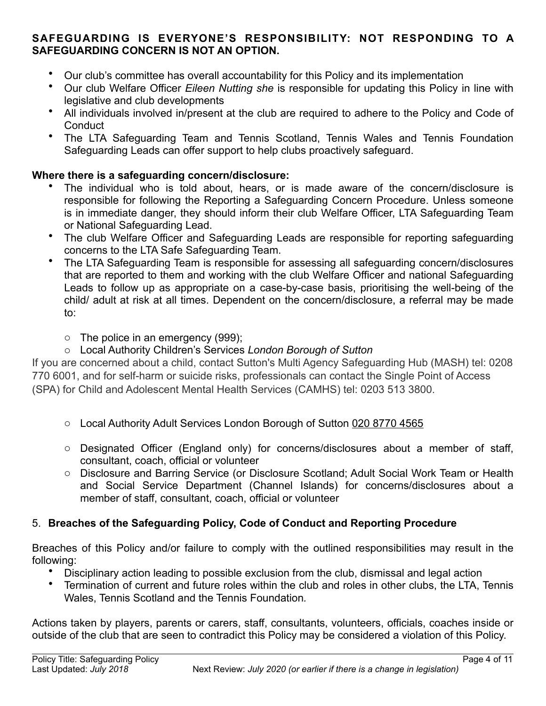#### **SAFEGUARDING IS EVERYONE'S RESPONSIBILITY: NOT RESPONDING TO A SAFEGUARDING CONCERN IS NOT AN OPTION.**

- Our club's committee has overall accountability for this Policy and its implementation
- Our club Welfare Officer *Eileen Nutting she* is responsible for updating this Policy in line with legislative and club developments
- All individuals involved in/present at the club are required to adhere to the Policy and Code of **Conduct**
- The LTA Safeguarding Team and Tennis Scotland, Tennis Wales and Tennis Foundation Safeguarding Leads can offer support to help clubs proactively safeguard.

### **Where there is a safeguarding concern/disclosure:**

- The individual who is told about, hears, or is made aware of the concern/disclosure is responsible for following the Reporting a Safeguarding Concern Procedure. Unless someone is in immediate danger, they should inform their club Welfare Officer, LTA Safeguarding Team or National Safeguarding Lead.
- The club Welfare Officer and Safeguarding Leads are responsible for reporting safeguarding concerns to the LTA Safe Safeguarding Team.
- The LTA Safeguarding Team is responsible for assessing all safeguarding concern/disclosures that are reported to them and working with the club Welfare Officer and national Safeguarding Leads to follow up as appropriate on a case-by-case basis, prioritising the well-being of the child/ adult at risk at all times. Dependent on the concern/disclosure, a referral may be made to:
	- o The police in an emergency (999);
	- o Local Authority Children's Services *London Borough of Sutton*

If you are concerned about a child, contact Sutton's Multi Agency Safeguarding Hub (MASH) tel: 0208 770 6001, and for self-harm or suicide risks, professionals can contact the Single Point of Access (SPA) for Child and Adolescent Mental Health Services (CAMHS) tel: 0203 513 3800.

- $\circ$  Local Authority Adult Services London Borough of Sutton 020 8770 4565
- o Designated Officer (England only) for concerns/disclosures about a member of staff, consultant, coach, official or volunteer
- o Disclosure and Barring Service (or Disclosure Scotland; Adult Social Work Team or Health and Social Service Department (Channel Islands) for concerns/disclosures about a member of staff, consultant, coach, official or volunteer

# 5. **Breaches of the Safeguarding Policy, Code of Conduct and Reporting Procedure**

Breaches of this Policy and/or failure to comply with the outlined responsibilities may result in the following:

- Disciplinary action leading to possible exclusion from the club, dismissal and legal action
- Termination of current and future roles within the club and roles in other clubs, the LTA, Tennis Wales, Tennis Scotland and the Tennis Foundation*.*

Actions taken by players, parents or carers, staff, consultants, volunteers, officials, coaches inside or outside of the club that are seen to contradict this Policy may be considered a violation of this Policy.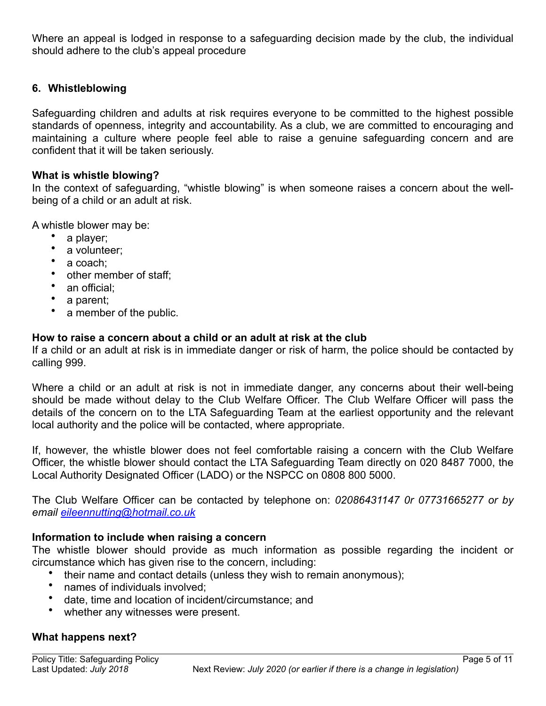Where an appeal is lodged in response to a safeguarding decision made by the club, the individual should adhere to the club's appeal procedure

### **6. Whistleblowing**

Safeguarding children and adults at risk requires everyone to be committed to the highest possible standards of openness, integrity and accountability. As a club, we are committed to encouraging and maintaining a culture where people feel able to raise a genuine safeguarding concern and are confident that it will be taken seriously.

#### **What is whistle blowing?**

In the context of safeguarding, "whistle blowing" is when someone raises a concern about the wellbeing of a child or an adult at risk.

A whistle blower may be:

- a player;
- a volunteer;
- a coach;
- other member of staff;
- an official:
- a parent;
- a member of the public.

#### **How to raise a concern about a child or an adult at risk at the club**

If a child or an adult at risk is in immediate danger or risk of harm, the police should be contacted by calling 999.

Where a child or an adult at risk is not in immediate danger, any concerns about their well-being should be made without delay to the Club Welfare Officer. The Club Welfare Officer will pass the details of the concern on to the LTA Safeguarding Team at the earliest opportunity and the relevant local authority and the police will be contacted, where appropriate.

If, however, the whistle blower does not feel comfortable raising a concern with the Club Welfare Officer, the whistle blower should contact the LTA Safeguarding Team directly on 020 8487 7000, the Local Authority Designated Officer (LADO) or the NSPCC on 0808 800 5000.

The Club Welfare Officer can be contacted by telephone on: *02086431147 0r 07731665277 or by email [eileennutting@hotmail.co.uk](mailto:eileennutting@hotmail.co.uk)*

#### **Information to include when raising a concern**

The whistle blower should provide as much information as possible regarding the incident or circumstance which has given rise to the concern, including:

- their name and contact details (unless they wish to remain anonymous);
- names of individuals involved;
- date, time and location of incident/circumstance; and
- whether any witnesses were present.

# **What happens next?**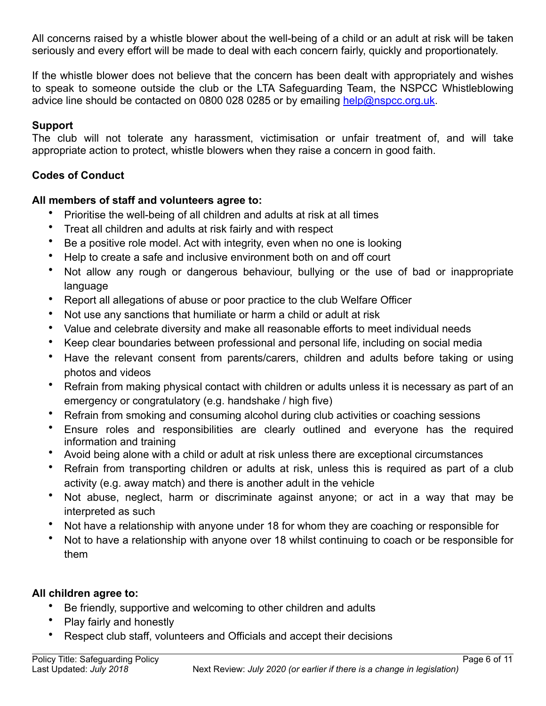All concerns raised by a whistle blower about the well-being of a child or an adult at risk will be taken seriously and every effort will be made to deal with each concern fairly, quickly and proportionately.

If the whistle blower does not believe that the concern has been dealt with appropriately and wishes to speak to someone outside the club or the LTA Safeguarding Team, the NSPCC Whistleblowing advice line should be contacted on 0800 028 0285 or by emailing [help@nspcc.org.uk.](mailto:help@nspcc.org.uk)

# **Support**

The club will not tolerate any harassment, victimisation or unfair treatment of, and will take appropriate action to protect, whistle blowers when they raise a concern in good faith.

# **Codes of Conduct**

# **All members of staff and volunteers agree to:**

- Prioritise the well-being of all children and adults at risk at all times
- Treat all children and adults at risk fairly and with respect
- Be a positive role model. Act with integrity, even when no one is looking
- Help to create a safe and inclusive environment both on and off court
- Not allow any rough or dangerous behaviour, bullying or the use of bad or inappropriate language
- Report all allegations of abuse or poor practice to the club Welfare Officer
- Not use any sanctions that humiliate or harm a child or adult at risk
- Value and celebrate diversity and make all reasonable efforts to meet individual needs
- Keep clear boundaries between professional and personal life, including on social media
- Have the relevant consent from parents/carers, children and adults before taking or using photos and videos
- Refrain from making physical contact with children or adults unless it is necessary as part of an emergency or congratulatory (e.g. handshake / high five)
- Refrain from smoking and consuming alcohol during club activities or coaching sessions
- Ensure roles and responsibilities are clearly outlined and everyone has the required information and training
- Avoid being alone with a child or adult at risk unless there are exceptional circumstances
- Refrain from transporting children or adults at risk, unless this is required as part of a club activity (e.g. away match) and there is another adult in the vehicle
- Not abuse, neglect, harm or discriminate against anyone; or act in a way that may be interpreted as such
- Not have a relationship with anyone under 18 for whom they are coaching or responsible for
- Not to have a relationship with anyone over 18 whilst continuing to coach or be responsible for them

# **All children agree to:**

- Be friendly, supportive and welcoming to other children and adults
- Play fairly and honestly
- Respect club staff, volunteers and Officials and accept their decisions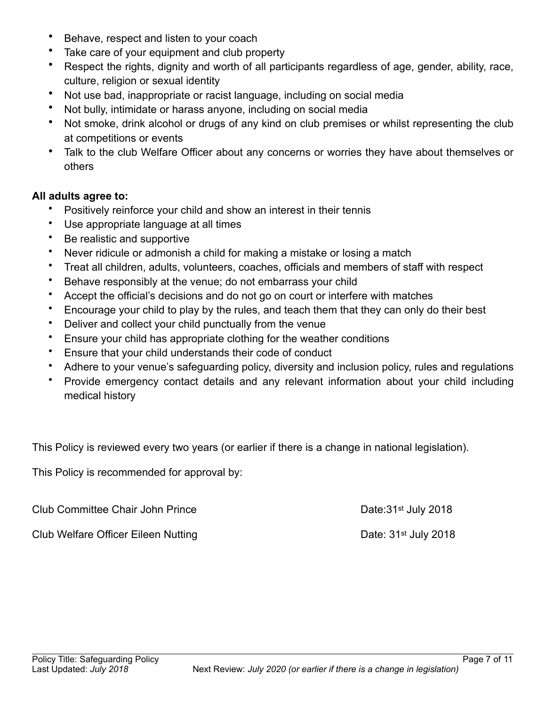- Behave, respect and listen to your coach
- Take care of your equipment and club property
- Respect the rights, dignity and worth of all participants regardless of age, gender, ability, race, culture, religion or sexual identity
- Not use bad, inappropriate or racist language, including on social media
- Not bully, intimidate or harass anyone, including on social media
- Not smoke, drink alcohol or drugs of any kind on club premises or whilst representing the club at competitions or events
- Talk to the club Welfare Officer about any concerns or worries they have about themselves or others

#### **All adults agree to:**

- Positively reinforce your child and show an interest in their tennis
- Use appropriate language at all times
- Be realistic and supportive
- Never ridicule or admonish a child for making a mistake or losing a match
- Treat all children, adults, volunteers, coaches, officials and members of staff with respect
- Behave responsibly at the venue; do not embarrass your child
- Accept the official's decisions and do not go on court or interfere with matches
- Encourage your child to play by the rules, and teach them that they can only do their best
- Deliver and collect your child punctually from the venue
- Ensure your child has appropriate clothing for the weather conditions
- Ensure that your child understands their code of conduct
- Adhere to your venue's safeguarding policy, diversity and inclusion policy, rules and regulations
- Provide emergency contact details and any relevant information about your child including medical history

This Policy is reviewed every two years (or earlier if there is a change in national legislation).

This Policy is recommended for approval by:

| <b>Club Committee Chair John Prince</b>    | Date: 31 <sup>st</sup> July 2018 |
|--------------------------------------------|----------------------------------|
| <b>Club Welfare Officer Eileen Nutting</b> | Date: $31st$ July 2018           |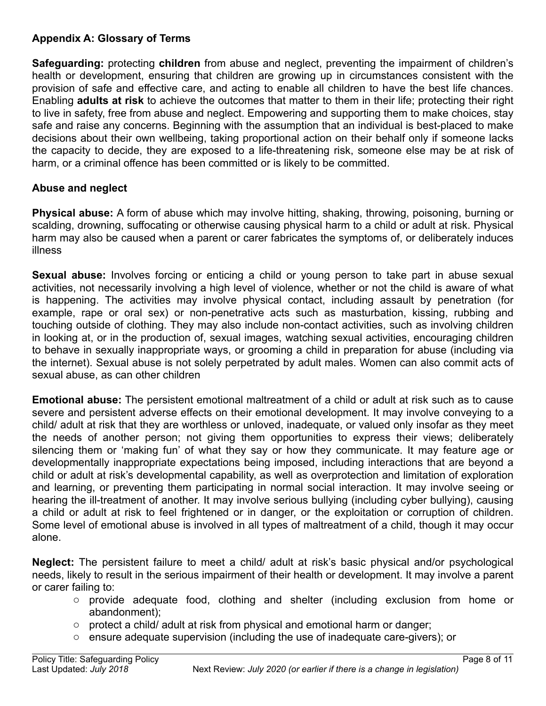# **Appendix A: Glossary of Terms**

**Safeguarding:** protecting **children** from abuse and neglect, preventing the impairment of children's health or development, ensuring that children are growing up in circumstances consistent with the provision of safe and effective care, and acting to enable all children to have the best life chances. Enabling **adults at risk** to achieve the outcomes that matter to them in their life; protecting their right to live in safety, free from abuse and neglect. Empowering and supporting them to make choices, stay safe and raise any concerns. Beginning with the assumption that an individual is best-placed to make decisions about their own wellbeing, taking proportional action on their behalf only if someone lacks the capacity to decide, they are exposed to a life-threatening risk, someone else may be at risk of harm, or a criminal offence has been committed or is likely to be committed.

### **Abuse and neglect**

**Physical abuse:** A form of abuse which may involve hitting, shaking, throwing, poisoning, burning or scalding, drowning, suffocating or otherwise causing physical harm to a child or adult at risk. Physical harm may also be caused when a parent or carer fabricates the symptoms of, or deliberately induces illness

**Sexual abuse:** Involves forcing or enticing a child or young person to take part in abuse sexual activities, not necessarily involving a high level of violence, whether or not the child is aware of what is happening. The activities may involve physical contact, including assault by penetration (for example, rape or oral sex) or non-penetrative acts such as masturbation, kissing, rubbing and touching outside of clothing. They may also include non-contact activities, such as involving children in looking at, or in the production of, sexual images, watching sexual activities, encouraging children to behave in sexually inappropriate ways, or grooming a child in preparation for abuse (including via the internet). Sexual abuse is not solely perpetrated by adult males. Women can also commit acts of sexual abuse, as can other children

**Emotional abuse:** The persistent emotional maltreatment of a child or adult at risk such as to cause severe and persistent adverse effects on their emotional development. It may involve conveying to a child/ adult at risk that they are worthless or unloved, inadequate, or valued only insofar as they meet the needs of another person; not giving them opportunities to express their views; deliberately silencing them or 'making fun' of what they say or how they communicate. It may feature age or developmentally inappropriate expectations being imposed, including interactions that are beyond a child or adult at risk's developmental capability, as well as overprotection and limitation of exploration and learning, or preventing them participating in normal social interaction. It may involve seeing or hearing the ill-treatment of another. It may involve serious bullying (including cyber bullying), causing a child or adult at risk to feel frightened or in danger, or the exploitation or corruption of children. Some level of emotional abuse is involved in all types of maltreatment of a child, though it may occur alone.

**Neglect:** The persistent failure to meet a child/ adult at risk's basic physical and/or psychological needs, likely to result in the serious impairment of their health or development. It may involve a parent or carer failing to:

- o provide adequate food, clothing and shelter (including exclusion from home or abandonment);
- $\circ$  protect a child/ adult at risk from physical and emotional harm or danger;
- o ensure adequate supervision (including the use of inadequate care-givers); or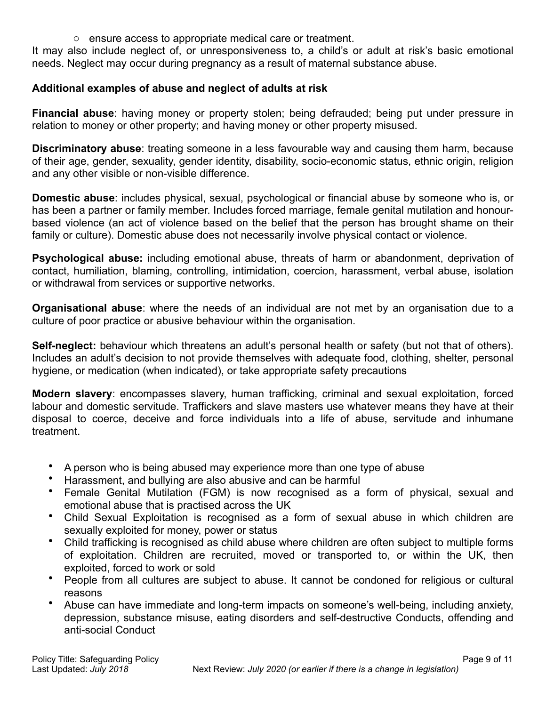o ensure access to appropriate medical care or treatment.

It may also include neglect of, or unresponsiveness to, a child's or adult at risk's basic emotional needs. Neglect may occur during pregnancy as a result of maternal substance abuse.

# **Additional examples of abuse and neglect of adults at risk**

**Financial abuse**: having money or property stolen; being defrauded; being put under pressure in relation to money or other property; and having money or other property misused.

**Discriminatory abuse**: treating someone in a less favourable way and causing them harm, because of their age, gender, sexuality, gender identity, disability, socio-economic status, ethnic origin, religion and any other visible or non-visible difference.

**Domestic abuse**: includes physical, sexual, psychological or financial abuse by someone who is, or has been a partner or family member. Includes forced marriage, female genital mutilation and honourbased violence (an act of violence based on the belief that the person has brought shame on their family or culture). Domestic abuse does not necessarily involve physical contact or violence.

**Psychological abuse:** including emotional abuse, threats of harm or abandonment, deprivation of contact, humiliation, blaming, controlling, intimidation, coercion, harassment, verbal abuse, isolation or withdrawal from services or supportive networks.

**Organisational abuse**: where the needs of an individual are not met by an organisation due to a culture of poor practice or abusive behaviour within the organisation.

**Self-neglect:** behaviour which threatens an adult's personal health or safety (but not that of others). Includes an adult's decision to not provide themselves with adequate food, clothing, shelter, personal hygiene, or medication (when indicated), or take appropriate safety precautions

**Modern slavery**: encompasses slavery, human trafficking, criminal and sexual exploitation, forced labour and domestic servitude. Traffickers and slave masters use whatever means they have at their disposal to coerce, deceive and force individuals into a life of abuse, servitude and inhumane treatment.

- A person who is being abused may experience more than one type of abuse
- Harassment, and bullying are also abusive and can be harmful
- Female Genital Mutilation (FGM) is now recognised as a form of physical, sexual and emotional abuse that is practised across the UK
- Child Sexual Exploitation is recognised as a form of sexual abuse in which children are sexually exploited for money, power or status
- Child trafficking is recognised as child abuse where children are often subject to multiple forms of exploitation. Children are recruited, moved or transported to, or within the UK, then exploited, forced to work or sold
- People from all cultures are subject to abuse. It cannot be condoned for religious or cultural reasons
- Abuse can have immediate and long-term impacts on someone's well-being, including anxiety, depression, substance misuse, eating disorders and self-destructive Conducts, offending and anti-social Conduct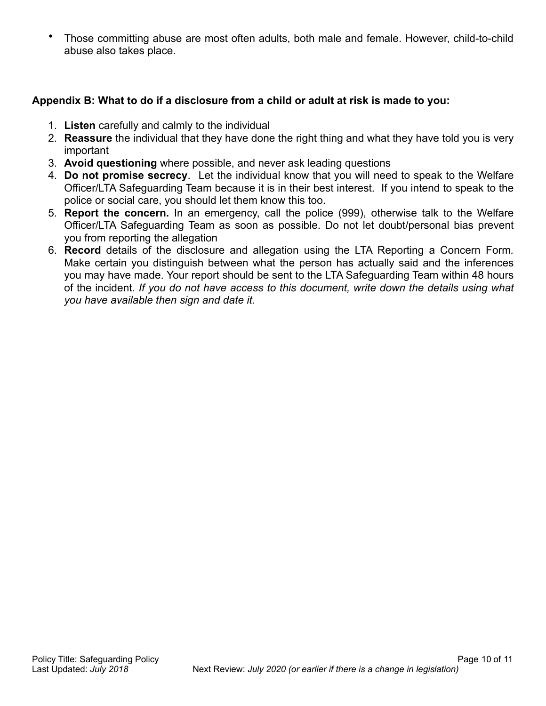• Those committing abuse are most often adults, both male and female. However, child-to-child abuse also takes place.

### **Appendix B: What to do if a disclosure from a child or adult at risk is made to you:**

- 1. **Listen** carefully and calmly to the individual
- 2. **Reassure** the individual that they have done the right thing and what they have told you is very important
- 3. **Avoid questioning** where possible, and never ask leading questions
- 4. **Do not promise secrecy**. Let the individual know that you will need to speak to the Welfare Officer/LTA Safeguarding Team because it is in their best interest. If you intend to speak to the police or social care, you should let them know this too.
- 5. **Report the concern.** In an emergency, call the police (999), otherwise talk to the Welfare Officer/LTA Safeguarding Team as soon as possible. Do not let doubt/personal bias prevent you from reporting the allegation
- 6. **Record** details of the disclosure and allegation using the LTA Reporting a Concern Form*.*  Make certain you distinguish between what the person has actually said and the inferences you may have made. Your report should be sent to the LTA Safeguarding Team within 48 hours of the incident. *If you do not have access to this document, write down the details using what you have available then sign and date it.*